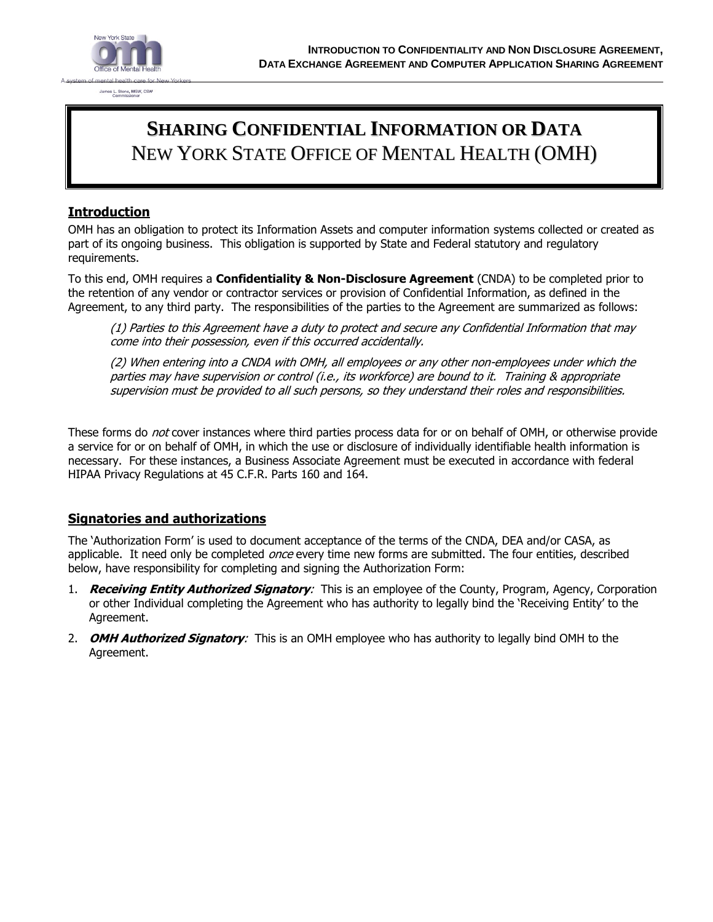

# **SHARING CONFIDENTIAL INFORMATION OR DATA** NEW YORK STATE OFFICE OF MENTAL HEALTH (OMH)

#### **Introduction**

OMH has an obligation to protect its Information Assets and computer information systems collected or created as part of its ongoing business. This obligation is supported by State and Federal statutory and regulatory requirements.

To this end, OMH requires a **Confidentiality & Non-Disclosure Agreement** (CNDA) to be completed prior to the retention of any vendor or contractor services or provision of Confidential Information, as defined in the Agreement, to any third party. The responsibilities of the parties to the Agreement are summarized as follows:

(1) Parties to this Agreement have a duty to protect and secure any Confidential Information that may come into their possession, even if this occurred accidentally.

(2) When entering into a CNDA with OMH, all employees or any other non-employees under which the parties may have supervision or control (i.e., its workforce) are bound to it. Training & appropriate supervision must be provided to all such persons, so they understand their roles and responsibilities.

These forms do *not* cover instances where third parties process data for or on behalf of OMH, or otherwise provide a service for or on behalf of OMH, in which the use or disclosure of individually identifiable health information is necessary. For these instances, a Business Associate Agreement must be executed in accordance with federal HIPAA Privacy Regulations at 45 C.F.R. Parts 160 and 164.

### **Signatories and authorizations**

The 'Authorization Form' is used to document acceptance of the terms of the CNDA, DEA and/or CASA, as applicable. It need only be completed *once* every time new forms are submitted. The four entities, described below, have responsibility for completing and signing the Authorization Form:

- 1. **Receiving Entity Authorized Signatory**: This is an employee of the County, Program, Agency, Corporation or other Individual completing the Agreement who has authority to legally bind the 'Receiving Entity' to the Agreement.
- 2. **OMH Authorized Signatory**: This is an OMH employee who has authority to legally bind OMH to the Agreement.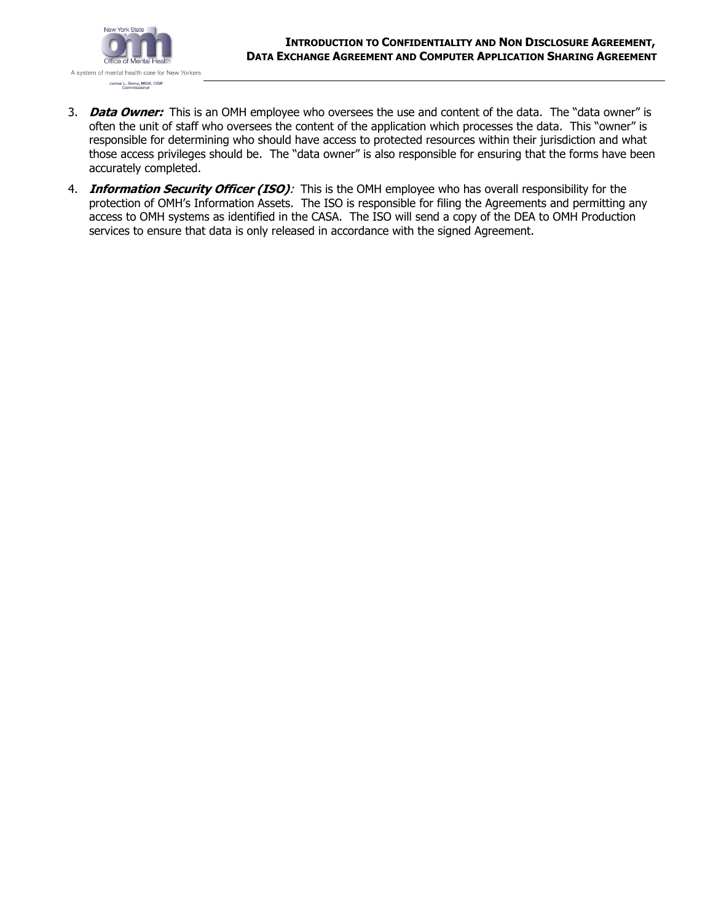

- 3. **Data Owner:** This is an OMH employee who oversees the use and content of the data. The "data owner" is often the unit of staff who oversees the content of the application which processes the data. This "owner" is responsible for determining who should have access to protected resources within their jurisdiction and what those access privileges should be. The "data owner" is also responsible for ensuring that the forms have been accurately completed.
- 4. **Information Security Officer (ISO)**: This is the OMH employee who has overall responsibility for the protection of OMH's Information Assets. The ISO is responsible for filing the Agreements and permitting any access to OMH systems as identified in the CASA. The ISO will send a copy of the DEA to OMH Production services to ensure that data is only released in accordance with the signed Agreement.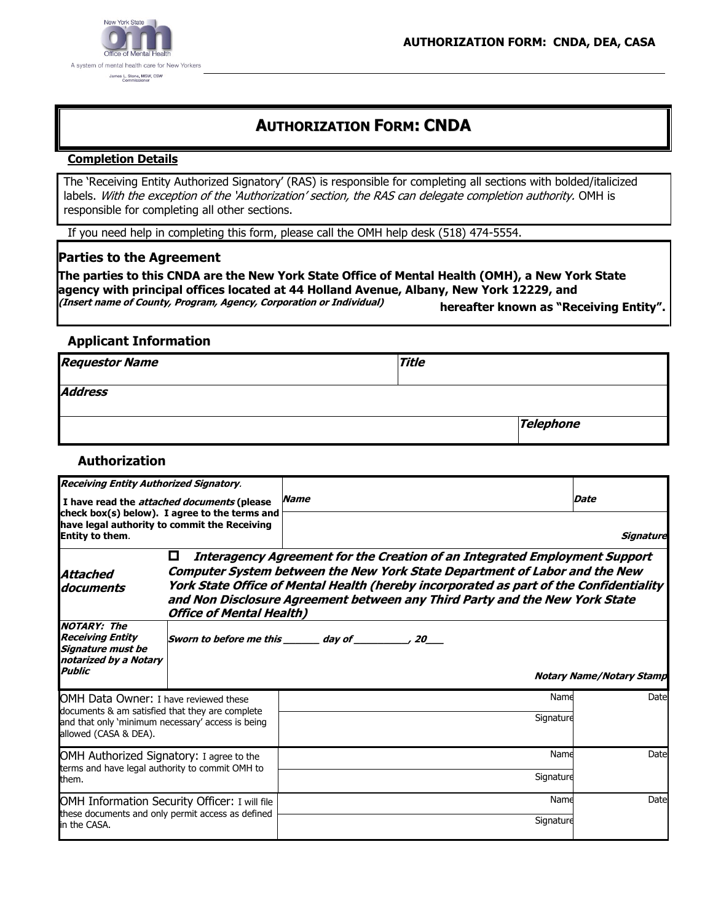

## **AUTHORIZATION FORM: CNDA**

#### **Completion Details**

The 'Receiving Entity Authorized Signatory' (RAS) is responsible for completing all sections with bolded/italicized labels. With the exception of the 'Authorization' section, the RAS can delegate completion authority. OMH is responsible for completing all other sections.

If you need help in completing this form, please call the OMH help desk (518) 474-5554.

#### **Parties to the Agreement**

**The parties to this CNDA are the New York State Office of Mental Health (OMH), a New York State agency with principal offices located at 44 Holland Avenue, Albany, New York 12229, and (Insert name of County, Program, Agency, Corporation or Individual) hereafter known as "Receiving Entity".**

#### **Applicant Information**

| <b>Requestor Name</b> | <b>Title</b> |                  |
|-----------------------|--------------|------------------|
| <b>Address</b>        |              |                  |
|                       |              | <b>Telephone</b> |

#### **Authorization**

| <b>Receiving Entity Authorized Signatory.</b>                                                                                                                          |                                      |                                                                                                                                                                                                                                                                                                                                                 |                                 |
|------------------------------------------------------------------------------------------------------------------------------------------------------------------------|--------------------------------------|-------------------------------------------------------------------------------------------------------------------------------------------------------------------------------------------------------------------------------------------------------------------------------------------------------------------------------------------------|---------------------------------|
| I have read the <i>attached documents</i> (please<br>check box(s) below). I agree to the terms and<br>have legal authority to commit the Receiving<br>Entity to them.  |                                      | <b>Name</b>                                                                                                                                                                                                                                                                                                                                     | Date                            |
|                                                                                                                                                                        |                                      | Signature                                                                                                                                                                                                                                                                                                                                       |                                 |
| Attached<br>documents                                                                                                                                                  | 0<br><b>Office of Mental Health)</b> | <b>Interagency Agreement for the Creation of an Integrated Employment Support</b><br><b>Computer System between the New York State Department of Labor and the New</b><br>York State Office of Mental Health (hereby incorporated as part of the Confidentiality<br>and Non Disclosure Agreement between any Third Party and the New York State |                                 |
| <b>NOTARY: The</b><br><b>Receiving Entity</b><br><b>Signature must be</b><br>notarized by a Notary<br><b>Public</b>                                                    |                                      | Sworn to before me this ________ day of ___________, 20____                                                                                                                                                                                                                                                                                     | <b>Notary Name/Notary Stamp</b> |
| OMH Data Owner: I have reviewed these<br>documents & am satisfied that they are complete<br>and that only 'minimum necessary' access is being<br>allowed (CASA & DEA). |                                      | Name                                                                                                                                                                                                                                                                                                                                            | Date                            |
|                                                                                                                                                                        |                                      | Signature                                                                                                                                                                                                                                                                                                                                       |                                 |
| OMH Authorized Signatory: I agree to the<br>terms and have legal authority to commit OMH to<br>them.                                                                   |                                      | Name                                                                                                                                                                                                                                                                                                                                            | Date                            |
|                                                                                                                                                                        |                                      | Signature                                                                                                                                                                                                                                                                                                                                       |                                 |
| OMH Information Security Officer: I will file<br>these documents and only permit access as defined<br>lin the CASA.                                                    |                                      | Name                                                                                                                                                                                                                                                                                                                                            | Date                            |
|                                                                                                                                                                        |                                      | Signature                                                                                                                                                                                                                                                                                                                                       |                                 |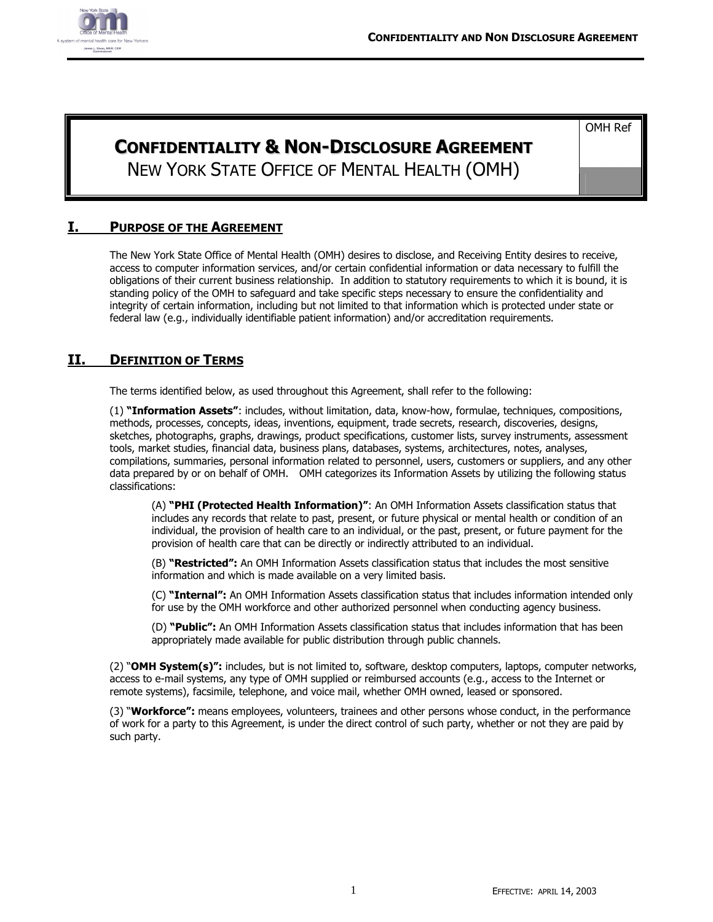

OMH Ref

# **CONFIDENTIALITY & NON-DISCLOSURE AGREEMENT** NEW YORK STATE OFFICE OF MENTAL HEALTH (OMH)

#### **I. PURPOSE OF THE AGREEMENT**

The New York State Office of Mental Health (OMH) desires to disclose, and Receiving Entity desires to receive, access to computer information services, and/or certain confidential information or data necessary to fulfill the obligations of their current business relationship. In addition to statutory requirements to which it is bound, it is standing policy of the OMH to safeguard and take specific steps necessary to ensure the confidentiality and integrity of certain information, including but not limited to that information which is protected under state or federal law (e.g., individually identifiable patient information) and/or accreditation requirements.

#### **II. DEFINITION OF TERMS**

The terms identified below, as used throughout this Agreement, shall refer to the following:

(1) **"Information Assets"**: includes, without limitation, data, know-how, formulae, techniques, compositions, methods, processes, concepts, ideas, inventions, equipment, trade secrets, research, discoveries, designs, sketches, photographs, graphs, drawings, product specifications, customer lists, survey instruments, assessment tools, market studies, financial data, business plans, databases, systems, architectures, notes, analyses, compilations, summaries, personal information related to personnel, users, customers or suppliers, and any other data prepared by or on behalf of OMH. OMH categorizes its Information Assets by utilizing the following status classifications:

(A) **"PHI (Protected Health Information)"**: An OMH Information Assets classification status that includes any records that relate to past, present, or future physical or mental health or condition of an individual, the provision of health care to an individual, or the past, present, or future payment for the provision of health care that can be directly or indirectly attributed to an individual.

(B) **"Restricted":** An OMH Information Assets classification status that includes the most sensitive information and which is made available on a very limited basis.

(C) **"Internal":** An OMH Information Assets classification status that includes information intended only for use by the OMH workforce and other authorized personnel when conducting agency business.

(D) **"Public":** An OMH Information Assets classification status that includes information that has been appropriately made available for public distribution through public channels.

(2) "**OMH System(s)":** includes, but is not limited to, software, desktop computers, laptops, computer networks, access to e-mail systems, any type of OMH supplied or reimbursed accounts (e.g., access to the Internet or remote systems), facsimile, telephone, and voice mail, whether OMH owned, leased or sponsored.

(3) "**Workforce":** means employees, volunteers, trainees and other persons whose conduct, in the performance of work for a party to this Agreement, is under the direct control of such party, whether or not they are paid by such party.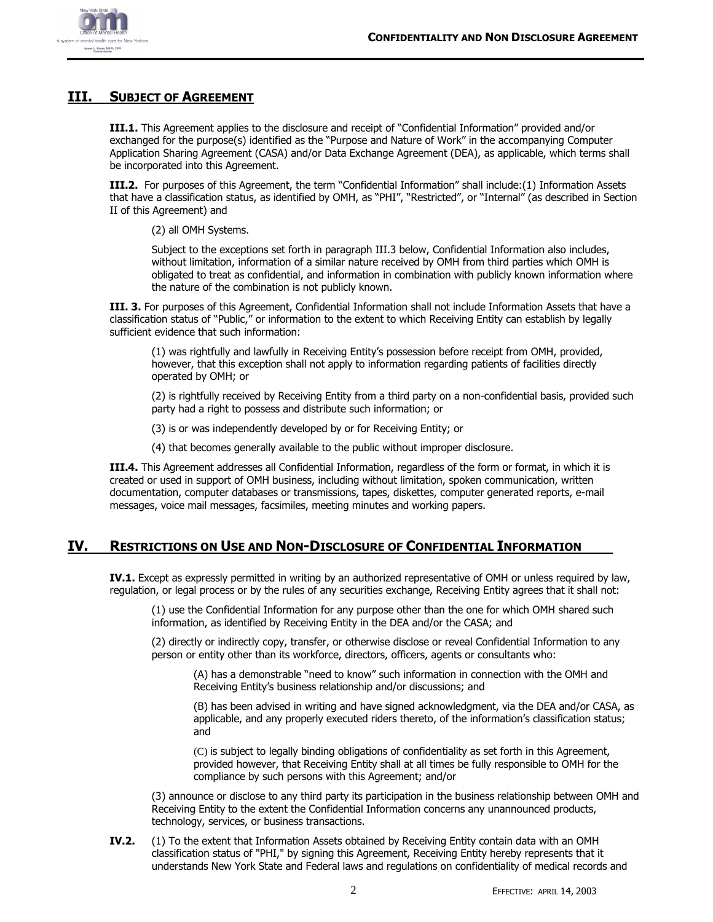#### **III. SUBJECT OF AGREEMENT**

**III.1.** This Agreement applies to the disclosure and receipt of "Confidential Information" provided and/or exchanged for the purpose(s) identified as the "Purpose and Nature of Work" in the accompanying Computer Application Sharing Agreement (CASA) and/or Data Exchange Agreement (DEA), as applicable, which terms shall be incorporated into this Agreement.

**III.2.** For purposes of this Agreement, the term "Confidential Information" shall include:(1) Information Assets that have a classification status, as identified by OMH, as "PHI", "Restricted", or "Internal" (as described in Section II of this Agreement) and

(2) all OMH Systems.

Subject to the exceptions set forth in paragraph III.3 below, Confidential Information also includes, without limitation, information of a similar nature received by OMH from third parties which OMH is obligated to treat as confidential, and information in combination with publicly known information where the nature of the combination is not publicly known.

**III. 3.** For purposes of this Agreement, Confidential Information shall not include Information Assets that have a classification status of "Public," or information to the extent to which Receiving Entity can establish by legally sufficient evidence that such information:

(1) was rightfully and lawfully in Receiving Entity's possession before receipt from OMH, provided, however, that this exception shall not apply to information regarding patients of facilities directly operated by OMH; or

(2) is rightfully received by Receiving Entity from a third party on a non-confidential basis, provided such party had a right to possess and distribute such information; or

(3) is or was independently developed by or for Receiving Entity; or

(4) that becomes generally available to the public without improper disclosure.

**III.4.** This Agreement addresses all Confidential Information, regardless of the form or format, in which it is created or used in support of OMH business, including without limitation, spoken communication, written documentation, computer databases or transmissions, tapes, diskettes, computer generated reports, e-mail messages, voice mail messages, facsimiles, meeting minutes and working papers.

#### **IV. RESTRICTIONS ON USE AND NON-DISCLOSURE OF CONFIDENTIAL INFORMATION**

**IV.1.** Except as expressly permitted in writing by an authorized representative of OMH or unless required by law, regulation, or legal process or by the rules of any securities exchange, Receiving Entity agrees that it shall not:

(1) use the Confidential Information for any purpose other than the one for which OMH shared such information, as identified by Receiving Entity in the DEA and/or the CASA; and

(2) directly or indirectly copy, transfer, or otherwise disclose or reveal Confidential Information to any person or entity other than its workforce, directors, officers, agents or consultants who:

(A) has a demonstrable "need to know" such information in connection with the OMH and Receiving Entity's business relationship and/or discussions; and

(B) has been advised in writing and have signed acknowledgment, via the DEA and/or CASA, as applicable, and any properly executed riders thereto, of the information's classification status; and

(C) is subject to legally binding obligations of confidentiality as set forth in this Agreement, provided however, that Receiving Entity shall at all times be fully responsible to OMH for the compliance by such persons with this Agreement; and/or

(3) announce or disclose to any third party its participation in the business relationship between OMH and Receiving Entity to the extent the Confidential Information concerns any unannounced products, technology, services, or business transactions.

**IV.2.** (1) To the extent that Information Assets obtained by Receiving Entity contain data with an OMH classification status of "PHI," by signing this Agreement, Receiving Entity hereby represents that it understands New York State and Federal laws and regulations on confidentiality of medical records and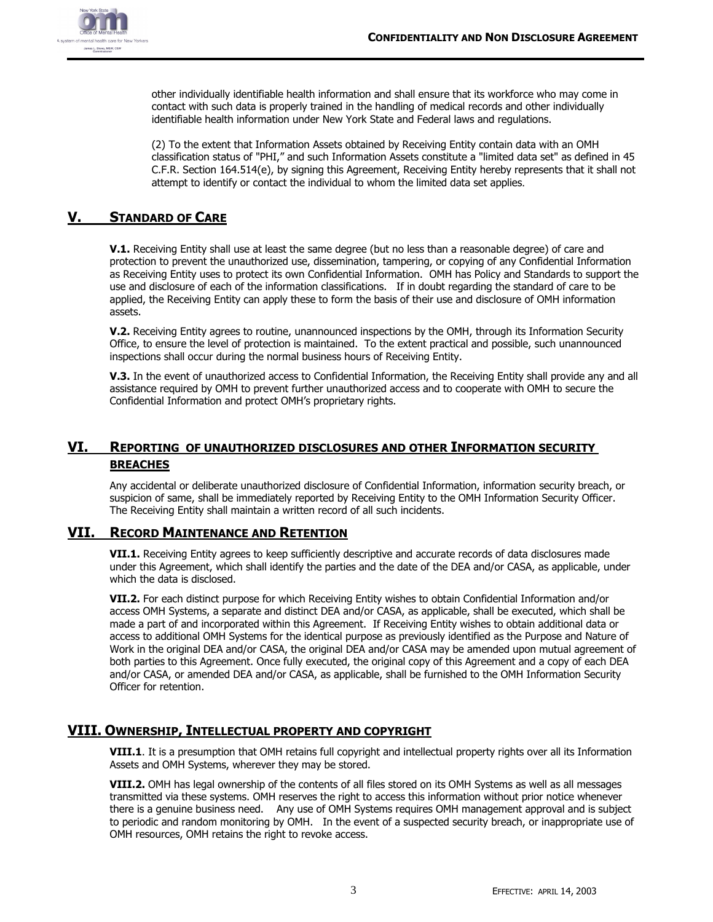

other individually identifiable health information and shall ensure that its workforce who may come in contact with such data is properly trained in the handling of medical records and other individually identifiable health information under New York State and Federal laws and regulations.

(2) To the extent that Information Assets obtained by Receiving Entity contain data with an OMH classification status of "PHI," and such Information Assets constitute a "limited data set" as defined in 45 C.F.R. Section 164.514(e), by signing this Agreement, Receiving Entity hereby represents that it shall not attempt to identify or contact the individual to whom the limited data set applies.

#### **V. STANDARD OF CARE**

**V.1.** Receiving Entity shall use at least the same degree (but no less than a reasonable degree) of care and protection to prevent the unauthorized use, dissemination, tampering, or copying of any Confidential Information as Receiving Entity uses to protect its own Confidential Information. OMH has Policy and Standards to support the use and disclosure of each of the information classifications. If in doubt regarding the standard of care to be applied, the Receiving Entity can apply these to form the basis of their use and disclosure of OMH information assets.

**V.2.** Receiving Entity agrees to routine, unannounced inspections by the OMH, through its Information Security Office, to ensure the level of protection is maintained. To the extent practical and possible, such unannounced inspections shall occur during the normal business hours of Receiving Entity.

**V.3.** In the event of unauthorized access to Confidential Information, the Receiving Entity shall provide any and all assistance required by OMH to prevent further unauthorized access and to cooperate with OMH to secure the Confidential Information and protect OMH's proprietary rights.

### **VI. REPORTING OF UNAUTHORIZED DISCLOSURES AND OTHER INFORMATION SECURITY BREACHES**

Any accidental or deliberate unauthorized disclosure of Confidential Information, information security breach, or suspicion of same, shall be immediately reported by Receiving Entity to the OMH Information Security Officer. The Receiving Entity shall maintain a written record of all such incidents.

#### **VII. RECORD MAINTENANCE AND RETENTION**

**VII.1.** Receiving Entity agrees to keep sufficiently descriptive and accurate records of data disclosures made under this Agreement, which shall identify the parties and the date of the DEA and/or CASA, as applicable, under which the data is disclosed.

**VII.2.** For each distinct purpose for which Receiving Entity wishes to obtain Confidential Information and/or access OMH Systems, a separate and distinct DEA and/or CASA, as applicable, shall be executed, which shall be made a part of and incorporated within this Agreement. If Receiving Entity wishes to obtain additional data or access to additional OMH Systems for the identical purpose as previously identified as the Purpose and Nature of Work in the original DEA and/or CASA, the original DEA and/or CASA may be amended upon mutual agreement of both parties to this Agreement. Once fully executed, the original copy of this Agreement and a copy of each DEA and/or CASA, or amended DEA and/or CASA, as applicable, shall be furnished to the OMH Information Security Officer for retention.

#### **VIII. OWNERSHIP, INTELLECTUAL PROPERTY AND COPYRIGHT**

**VIII.1**. It is a presumption that OMH retains full copyright and intellectual property rights over all its Information Assets and OMH Systems, wherever they may be stored.

**VIII.2.** OMH has legal ownership of the contents of all files stored on its OMH Systems as well as all messages transmitted via these systems. OMH reserves the right to access this information without prior notice whenever there is a genuine business need. Any use of OMH Systems requires OMH management approval and is subject to periodic and random monitoring by OMH. In the event of a suspected security breach, or inappropriate use of OMH resources, OMH retains the right to revoke access.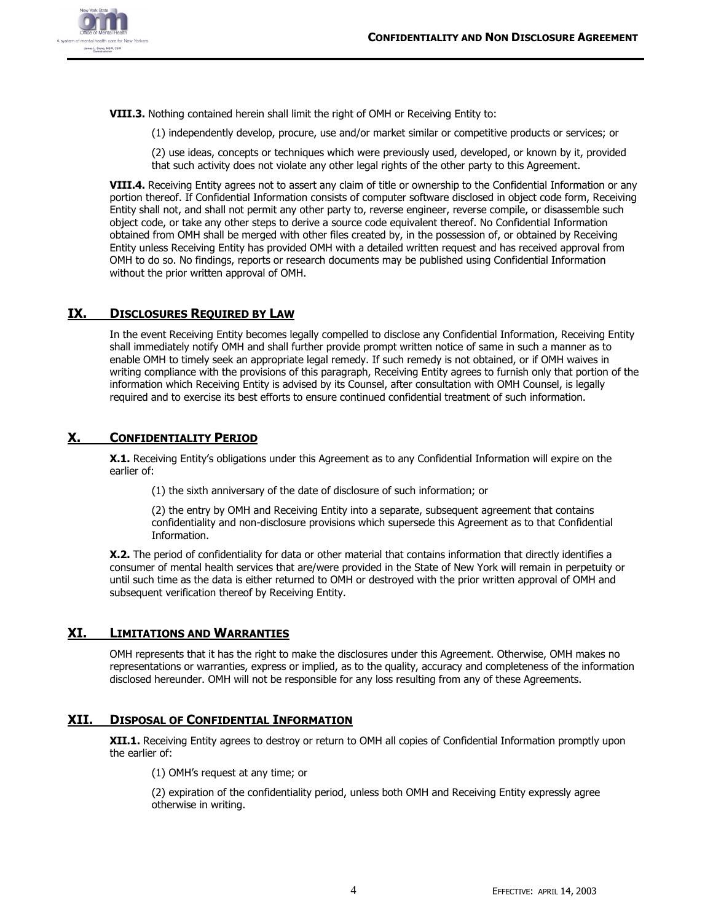

**VIII.3.** Nothing contained herein shall limit the right of OMH or Receiving Entity to:

(1) independently develop, procure, use and/or market similar or competitive products or services; or

(2) use ideas, concepts or techniques which were previously used, developed, or known by it, provided that such activity does not violate any other legal rights of the other party to this Agreement.

**VIII.4.** Receiving Entity agrees not to assert any claim of title or ownership to the Confidential Information or any portion thereof. If Confidential Information consists of computer software disclosed in object code form, Receiving Entity shall not, and shall not permit any other party to, reverse engineer, reverse compile, or disassemble such object code, or take any other steps to derive a source code equivalent thereof. No Confidential Information obtained from OMH shall be merged with other files created by, in the possession of, or obtained by Receiving Entity unless Receiving Entity has provided OMH with a detailed written request and has received approval from OMH to do so. No findings, reports or research documents may be published using Confidential Information without the prior written approval of OMH.

#### **IX. DISCLOSURES REQUIRED BY LAW**

In the event Receiving Entity becomes legally compelled to disclose any Confidential Information, Receiving Entity shall immediately notify OMH and shall further provide prompt written notice of same in such a manner as to enable OMH to timely seek an appropriate legal remedy. If such remedy is not obtained, or if OMH waives in writing compliance with the provisions of this paragraph, Receiving Entity agrees to furnish only that portion of the information which Receiving Entity is advised by its Counsel, after consultation with OMH Counsel, is legally required and to exercise its best efforts to ensure continued confidential treatment of such information.

#### **X. CONFIDENTIALITY PERIOD**

**X.1.** Receiving Entity's obligations under this Agreement as to any Confidential Information will expire on the earlier of:

(1) the sixth anniversary of the date of disclosure of such information; or

(2) the entry by OMH and Receiving Entity into a separate, subsequent agreement that contains confidentiality and non-disclosure provisions which supersede this Agreement as to that Confidential Information.

**X.2.** The period of confidentiality for data or other material that contains information that directly identifies a consumer of mental health services that are/were provided in the State of New York will remain in perpetuity or until such time as the data is either returned to OMH or destroyed with the prior written approval of OMH and subsequent verification thereof by Receiving Entity.

#### **XI. LIMITATIONS AND WARRANTIES**

OMH represents that it has the right to make the disclosures under this Agreement. Otherwise, OMH makes no representations or warranties, express or implied, as to the quality, accuracy and completeness of the information disclosed hereunder. OMH will not be responsible for any loss resulting from any of these Agreements.

#### **XII. DISPOSAL OF CONFIDENTIAL INFORMATION**

**XII.1.** Receiving Entity agrees to destroy or return to OMH all copies of Confidential Information promptly upon the earlier of:

(1) OMH's request at any time; or

(2) expiration of the confidentiality period, unless both OMH and Receiving Entity expressly agree otherwise in writing.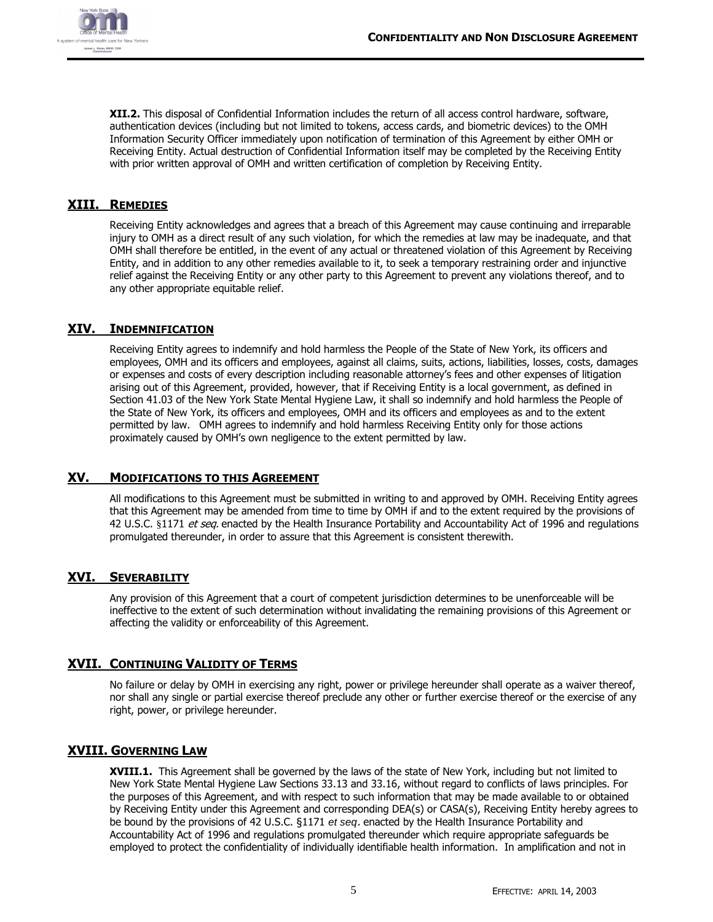

**XII.2.** This disposal of Confidential Information includes the return of all access control hardware, software, authentication devices (including but not limited to tokens, access cards, and biometric devices) to the OMH Information Security Officer immediately upon notification of termination of this Agreement by either OMH or Receiving Entity. Actual destruction of Confidential Information itself may be completed by the Receiving Entity with prior written approval of OMH and written certification of completion by Receiving Entity.

#### **XIII. REMEDIES**

Receiving Entity acknowledges and agrees that a breach of this Agreement may cause continuing and irreparable injury to OMH as a direct result of any such violation, for which the remedies at law may be inadequate, and that OMH shall therefore be entitled, in the event of any actual or threatened violation of this Agreement by Receiving Entity, and in addition to any other remedies available to it, to seek a temporary restraining order and injunctive relief against the Receiving Entity or any other party to this Agreement to prevent any violations thereof, and to any other appropriate equitable relief.

#### **XIV. INDEMNIFICATION**

Receiving Entity agrees to indemnify and hold harmless the People of the State of New York, its officers and employees, OMH and its officers and employees, against all claims, suits, actions, liabilities, losses, costs, damages or expenses and costs of every description including reasonable attorney's fees and other expenses of litigation arising out of this Agreement, provided, however, that if Receiving Entity is a local government, as defined in Section 41.03 of the New York State Mental Hygiene Law, it shall so indemnify and hold harmless the People of the State of New York, its officers and employees, OMH and its officers and employees as and to the extent permitted by law. OMH agrees to indemnify and hold harmless Receiving Entity only for those actions proximately caused by OMH's own negligence to the extent permitted by law.

#### **XV. MODIFICATIONS TO THIS AGREEMENT**

All modifications to this Agreement must be submitted in writing to and approved by OMH. Receiving Entity agrees that this Agreement may be amended from time to time by OMH if and to the extent required by the provisions of 42 U.S.C. §1171 et seq. enacted by the Health Insurance Portability and Accountability Act of 1996 and regulations promulgated thereunder, in order to assure that this Agreement is consistent therewith.

#### **XVI. SEVERABILITY**

Any provision of this Agreement that a court of competent jurisdiction determines to be unenforceable will be ineffective to the extent of such determination without invalidating the remaining provisions of this Agreement or affecting the validity or enforceability of this Agreement.

#### **XVII. CONTINUING VALIDITY OF TERMS**

No failure or delay by OMH in exercising any right, power or privilege hereunder shall operate as a waiver thereof, nor shall any single or partial exercise thereof preclude any other or further exercise thereof or the exercise of any right, power, or privilege hereunder.

#### **XVIII. GOVERNING LAW**

**XVIII.1.** This Agreement shall be governed by the laws of the state of New York, including but not limited to New York State Mental Hygiene Law Sections 33.13 and 33.16, without regard to conflicts of laws principles. For the purposes of this Agreement, and with respect to such information that may be made available to or obtained by Receiving Entity under this Agreement and corresponding DEA(s) or CASA(s), Receiving Entity hereby agrees to be bound by the provisions of 42 U.S.C. §1171 *et seq*. enacted by the Health Insurance Portability and Accountability Act of 1996 and regulations promulgated thereunder which require appropriate safeguards be employed to protect the confidentiality of individually identifiable health information. In amplification and not in